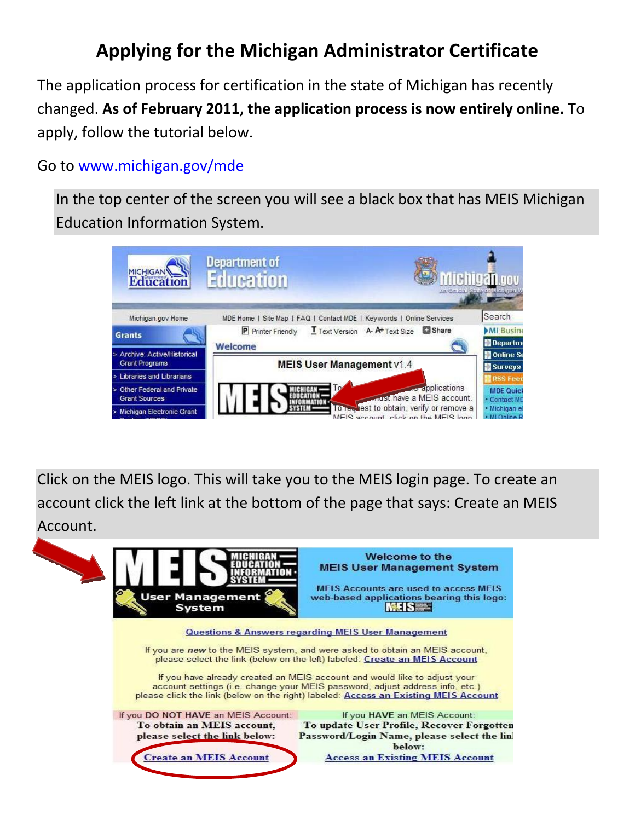## **Applying for the Michigan Administrator Certificate**

The application process for certification in the state of Michigan has recently changed. **As of February 2011, the application process is now entirely online.** To apply, follow the tutorial below.

## Go to www.michigan.gov/mde

In the top center of the screen you will see a black box that has MEIS Michigan Education Information System.



Click on the MEIS logo. This will take you to the MEIS login page. To create an account click the left link at the bottom of the page that says: Create an MEIS Account.

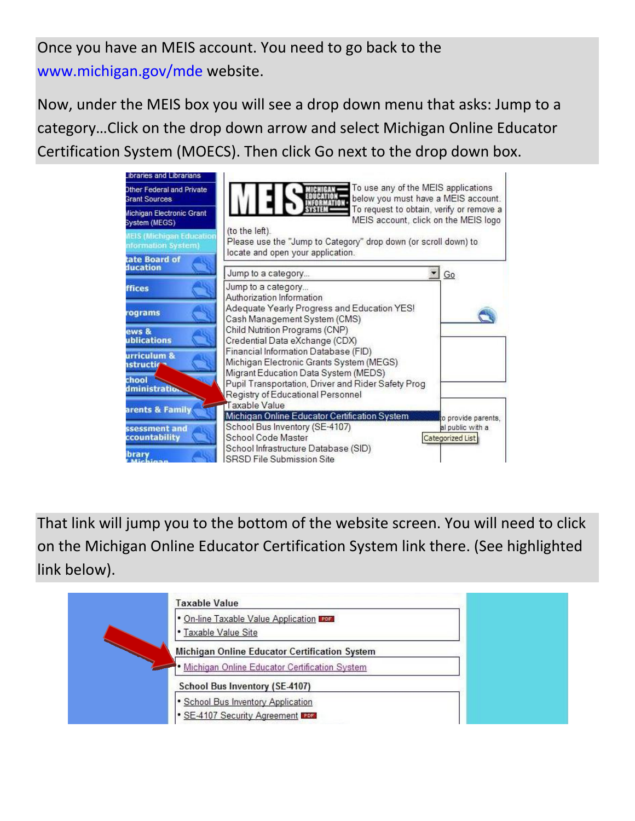Once you have an MEIS account. You need to go back to the www.michigan.gov/mde website.

Now, under the MEIS box you will see a drop down menu that asks: Jump to a category…Click on the drop down arrow and select Michigan Online Educator Certification System (MOECS). Then click Go next to the drop down box.



That link will jump you to the bottom of the website screen. You will need to click on the Michigan Online Educator Certification System link there. (See highlighted link below).

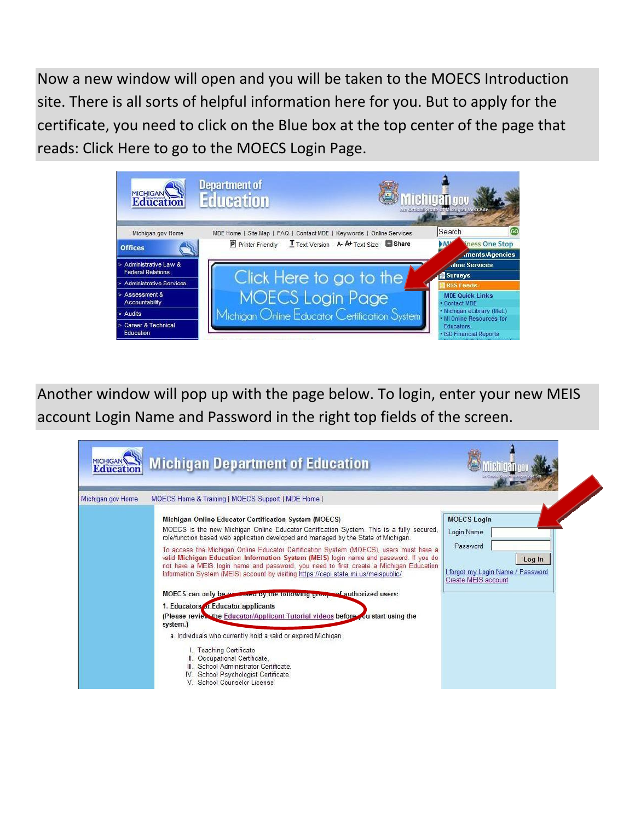Now a new window will open and you will be taken to the MOECS Introduction site. There is all sorts of helpful information here for you. But to apply for the certificate, you need to click on the Blue box at the top center of the page that reads: Click Here to go to the MOECS Login Page.



Another window will pop up with the page below. To login, enter your new MEIS account Login Name and Password in the right top fields of the screen.

| Education         | <b>Michigan Department of Education</b>                                                                                                                                                                                                                                                                                                                                                                                                                                                                                                                                                                                                                                                                                                                                                                                                                                                                                                                                                                                                                                     |                                                                                                                  |
|-------------------|-----------------------------------------------------------------------------------------------------------------------------------------------------------------------------------------------------------------------------------------------------------------------------------------------------------------------------------------------------------------------------------------------------------------------------------------------------------------------------------------------------------------------------------------------------------------------------------------------------------------------------------------------------------------------------------------------------------------------------------------------------------------------------------------------------------------------------------------------------------------------------------------------------------------------------------------------------------------------------------------------------------------------------------------------------------------------------|------------------------------------------------------------------------------------------------------------------|
| Michigan.gov Home | MOECS Home & Training   MOECS Support   MDE Home                                                                                                                                                                                                                                                                                                                                                                                                                                                                                                                                                                                                                                                                                                                                                                                                                                                                                                                                                                                                                            |                                                                                                                  |
|                   | Michigan Online Educator Certification System (MOECS)<br>MOECS is the new Michigan Online Educator Certification System. This is a fully secured.<br>role/function based web application developed and managed by the State of Michigan.<br>To access the Michigan Online Educator Certification System (MOECS), users must have a<br>valid Michigan Education Information System (MEIS) login name and password. If you do<br>not have a MEIS login name and password, you need to first create a Michigan Education<br>Information System (MEIS) account by visiting https://cepi.state.mi.us/meispublic/.<br>MOECS can only be assessed by the following group of authorized users:<br>1. Educators of Educator applicants<br>(Please review the Educator/Applicant Tutorial videos before you start using the<br>system.)<br>a. Individuals who currently hold a valid or expired Michigan<br>L. Teaching Certificate<br>II. Occupational Certificate,<br>III. School Administrator Certificate.<br>IV. School Psychologist Certificate.<br>V. School Counselor License | <b>MOECS Login</b><br>Login Name<br>Password<br>Log In<br>forgot my Login Name / Password<br>Create MEIS account |